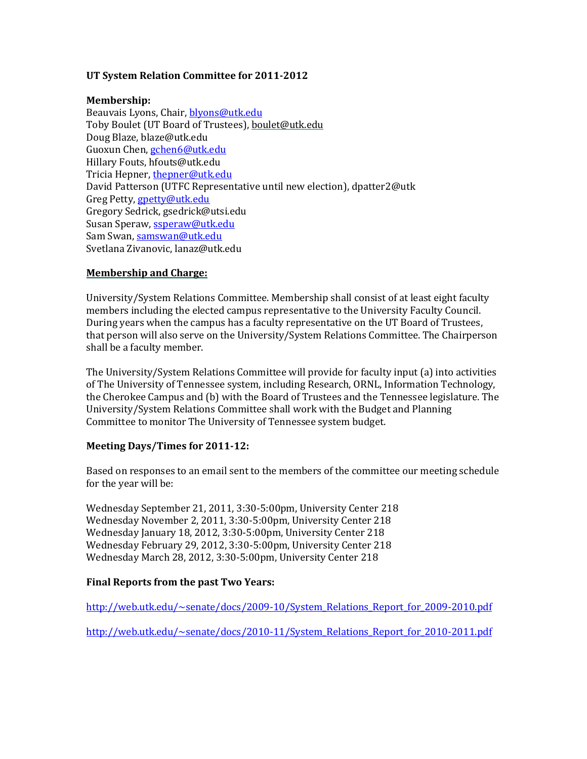## **UT System Relation Committee for 2011-2012**

### **Membership:**

Beauvais Lyons, Chair[, blyons@utk.edu](mailto:blyons@utk.edu) Toby Boulet (UT Board of Trustees)[, boulet@utk.edu](mailto:boulet@utk.edu) Doug Blaze, [blaze@utk.edu](mailto:blaze@utk.edu) Guoxun Chen, [gchen6@utk.edu](mailto:gchen6@utk.edu) Hillary Fouts[, hfouts@utk.edu](mailto:hfouts@utk.edu) Tricia Hepner[, thepner@utk.edu](mailto:thepner@utk.edu) David Patterson (UTFC Representative until new election), dpatter2@utk Greg Petty, [gpetty@utk.edu](mailto:gpetty@utk.edu) Gregory Sedrick, gsedrick@utsi.edu Susan Speraw, [ssperaw@utk.edu](mailto:ssperaw@utk.edu) Sam Swan[, samswan@utk.edu](mailto:samswan@utk.edu) Svetlana Zivanovic[, lanaz@utk.edu](mailto:lanaz@utk.edu)

## **Membership and Charge:**

University/System Relations Committee. Membership shall consist of at least eight faculty members including the elected campus representative to the University Faculty Council. During years when the campus has a faculty representative on the UT Board of Trustees, that person will also serve on the University/System Relations Committee. The Chairperson shall be a faculty member.

The University/System Relations Committee will provide for faculty input (a) into activities of The University of Tennessee system, including Research, ORNL, Information Technology, the Cherokee Campus and (b) with the Board of Trustees and the Tennessee legislature. The University/System Relations Committee shall work with the Budget and Planning Committee to monitor The University of Tennessee system budget.

#### **Meeting Days/Times for 2011-12:**

Based on responses to an email sent to the members of the committee our meeting schedule for the year will be:

Wednesday September 21, 2011, 3:30-5:00pm, University Center 218 Wednesday November 2, 2011, 3:30-5:00pm, University Center 218 Wednesday January 18, 2012, 3:30-5:00pm, University Center 218 Wednesday February 29, 2012, 3:30-5:00pm, University Center 218 Wednesday March 28, 2012, 3:30-5:00pm, University Center 218

# **Final Reports from the past Two Years:**

[http://web.utk.edu/~senate/docs/2009-10/System\\_Relations\\_Report\\_for\\_2009-2010.pdf](http://web.utk.edu/~senate/docs/2009-10/System_Relations_Report_for_2009-2010.pdf)

[http://web.utk.edu/~senate/docs/2010-11/System\\_Relations\\_Report\\_for\\_2010-2011.pdf](http://web.utk.edu/~senate/docs/2010-11/System_Relations_Report_for_2010-2011.pdf)